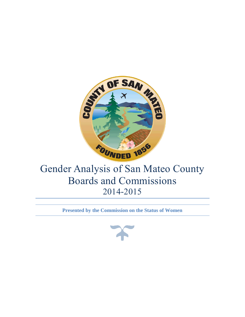

**Presented by the Commission on the Status of Women**

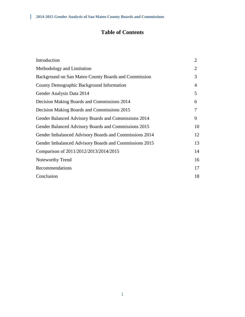## **Table of Contents**

| Introduction                                           | $\overline{2}$ |
|--------------------------------------------------------|----------------|
| Methodology and Limitation                             | $\overline{2}$ |
| Background on San Mateo County Boards and Commission   | 3              |
| County Demographic Background Information              | $\overline{4}$ |
| Gender Analysis Data 2014                              | 5              |
| Decision Making Boards and Commissions 2014            | 6              |
| Decision Making Boards and Commissions 2015            | 7              |
| Gender Balanced Advisory Boards and Commissions 2014   | 9              |
| Gender Balanced Advisory Boards and Commissions 2015   | 10             |
| Gender Imbalanced Advisory Boards and Commissions 2014 | 12             |
| Gender Imbalanced Advisory Boards and Commissions 2015 | 13             |
| Comparison of 2011/2012/2013/2014/2015                 | 14             |
| <b>Noteworthy Trend</b>                                | 16             |
| Recommendations                                        | 17             |
| Conclusion                                             | 18             |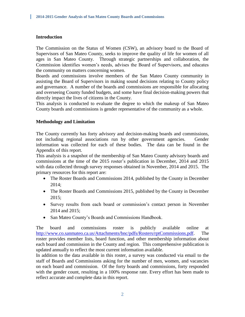## **Introduction**

The Commission on the Status of Women (CSW), an advisory board to the Board of Supervisors of San Mateo County, seeks to improve the quality of life for women of all ages in San Mateo County. Through strategic partnerships and collaboration, the Commission identifies women's needs, advises the Board of Supervisors, and educates the community on matters concerning women.

Boards and commissions involve members of the San Mateo County community in assisting the Board of Supervisors in making sound decisions relating to County policy and governance. A number of the boards and commissions are responsible for allocating and overseeing County funded budgets, and some have final decision-making powers that directly impact the lives of citizens in the County.

This analysis is conducted to evaluate the degree to which the makeup of San Mateo County boards and commissions is gender representative of the community as a whole.

#### **Methodology and Limitation**

The County currently has forty advisory and decision-making boards and commissions, not including regional associations run by other government agencies. Gender information was collected for each of these bodies. The data can be found in the Appendix of this report.

This analysis is a snapshot of the membership of San Mateo County advisory boards and commissions at the time of the 2015 roster's publication in December, 2014 and 2015 with data collected through survey responses obtained in November, 2014 and 2015. The primary resources for this report are:

- The Roster Boards and Commissions 2014, published by the County in December 2014;
- The Roster Boards and Commissions 2015, published by the County in December 2015;
- Survey results from each board or commission's contact person in November 2014 and 2015;
- San Mateo County's Boards and Commissions Handbook.

The board and commissions roster is publicly available online at [http://www.co.sanmateo.ca.us/Attachments/bnc/pdfs/Rosters/rptCommissions.pdf.](http://www.co.sanmateo.ca.us/Attachments/bnc/pdfs/Rosters/rptCommissions.pdf) The roster provides member lists, board function, and other membership information about each board and commission in the County and region. This comprehensive publication is updated annually to reflect the most current information available.

In addition to the data available in this roster, a survey was conducted via email to the staff of Boards and Commissions asking for the number of men, women, and vacancies on each board and commission. Of the forty boards and commissions, forty responded with the gender count, resulting in a 100% response rate. Every effort has been made to reflect accurate and complete data in this report.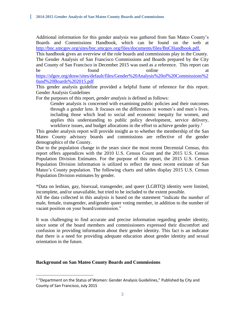Additional information for this gender analysis was gathered from San Mateo County's Boards and Commissions Handbook, which can be found on the web at <http://bnc.smcgov.org/sites/bnc.smcgov.org/files/documents/files/BnCHandbook.pdf.>

This handbook gives an overview of the role boards and commissions play in the County. The Gender Analysis of San Francisco Commissions and Boards prepared by the City and County of San Francisco in December 2015 was used as a reference. This report can be found found at  $\alpha$ [https://sfgov.org/dosw/sites/default/files/Gender%20Analysis%20of%20Commissions%2](https://sfgov.org/dosw/sites/default/files/Gender%20Analysis%20of%20Commissions%20and%20Boards%202015.pdf) [0and%20Boards%202015.pdf](https://sfgov.org/dosw/sites/default/files/Gender%20Analysis%20of%20Commissions%20and%20Boards%202015.pdf)

This gender analysis guideline provided a helpful frame of reference for this report. Gender Analysis Guidelines

For the purposes of this report, *gender analysis* is defined as follows:

Gender analysis is concerned with examining public policies and their outcomes through a gender lens. It focuses on the differences in women's and men's lives, including those which lead to social and economic inequity for women, and applies this understanding to public policy development, service delivery, workforce issues, and budget allocations in the effort to achieve gender parity.<sup>1</sup>

This gender analysis report will provide insight as to whether the membership of the San Mateo County advisory boards and commissions are reflective of the gender demographics of the County.

Due to the population change in the years since the most recent Decennial Census, this report offers appendices with the 2010 U.S. Census Count and the 2015 U.S. Census Population Division Estimates. For the purpose of this report, the 2015 U.S. Census Population Division information is utilized to reflect the most recent estimate of San Mateo's County population. The following charts and tables display 2015 U.S. Census Population Division estimates by gender.

\*Data on lesbian, gay, bisexual, transgender, and queer (LGBTQ) identity were limited, incomplete, and/or unavailable, but tried to be included to the extent possible.

All the data collected in this analysis is based on the statement "indicate the number of male, female, transgender, and/gender queer voting member, in addition to the number of vacant position on your board/commission."

It was challenging to find accurate and precise information regarding gender identity, since some of the board members and commissioners expressed their discomfort and confusion in providing information about their gender identity. This fact is an indicator that there is a need for providing adequate education about gender identity and sexual orientation in the future.

## **Background on San Mateo County Boards and Commissions**

 $\overline{\phantom{a}}$ 

<sup>&</sup>lt;sup>1</sup> "Department on the Status of Women: Gender Analysis Guidelines," Published by City and County of San Francisco, July 2015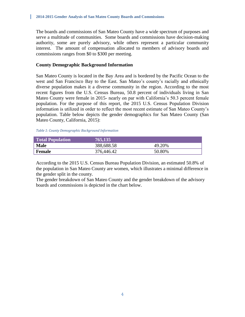The boards and commissions of San Mateo County have a wide spectrum of purposes and serve a multitude of communities. Some boards and commissions have decision-making authority, some are purely advisory, while others represent a particular community interest. The amount of compensation allocated to members of advisory boards and commissions ranges from \$0 to \$300 per meeting.

## **County Demographic Background Information**

San Mateo County is located in the Bay Area and is bordered by the Pacific Ocean to the west and San Francisco Bay to the East. San Mateo's county's racially and ethnically diverse population makes it a diverse community in the region. According to the most recent figures from the U.S. Census Bureau, 50.8 percent of individuals living in San Mateo County were female in 2015- nearly on par with California's 50.3 percent female population. For the purpose of this report, the 2015 U.S. Census Population Division information is utilized in order to reflect the most recent estimate of San Mateo County's population. Table below depicts the gender demographics for San Mateo County (San Mateo County, California, 2015):

#### *Table 1: County Demographic Background Information*

| <b>Total Population</b> | 765,135    |        |
|-------------------------|------------|--------|
| <b>Male</b>             | 388,688.58 | 49.20% |
| Female                  | 376,446.42 | 50.80% |

According to the 2015 U.S. Census Bureau Population Division, an estimated 50.8% of the population in San Mateo County are women, which illustrates a minimal difference in the gender split in the county.

The gender breakdown of San Mateo County and the gender breakdown of the advisory boards and commissions is depicted in the chart below.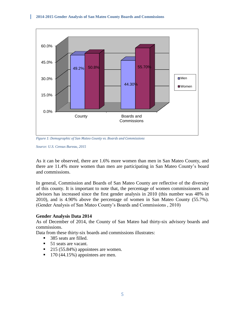

*Figure 1: Demographic of San Mateo County vs. Boards and Commissions*

*Source: U.S. Census Bureau, 2015*

As it can be observed, there are 1.6% more women than men in San Mateo County, and there are 11.4% more women than men are participating in San Mateo County's board and commissions.

In general, Commission and Boards of San Mateo County are reflective of the diversity of this county. It is important to note that, the percentage of women commissioners and advisors has increased since the first gender analysis in 2010 (this number was 48% in 2010), and is 4.90% above the percentage of women in San Mateo County (55.7%). (Gender Analysis of San Mateo County's Boards and Commissions , 2010)

#### **Gender Analysis Data 2014**

As of December of 2014, the County of San Mateo had thirty-six advisory boards and commissions.

Data from these thirty-six boards and commissions illustrates:

- 385 seats are filled.
- 51 seats are vacant.
- $\blacksquare$  215 (55.84%) appointees are women.
- $\blacksquare$  170 (44.15%) appointees are men.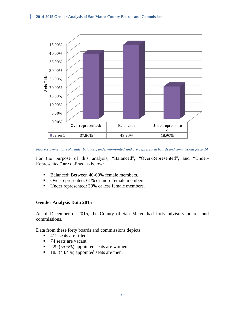П



*Figure 2: Percentage of gender balanced, underrepresented, and overrepresented boards and commissions for 2014*

For the purpose of this analysis, "Balanced", "Over-Represented", and "Under-Represented" are defined as below:

- Balanced: Between 40-60% female members.
- Over-represented: 61% or more female members.
- Under represented: 39% or less female members.

#### **Gender Analysis Data 2015**

As of December of 2015, the County of San Mateo had forty advisory boards and commissions.

Data from these forty boards and commissions depicts:

- $\blacksquare$  412 seats are filled.
- 74 seats are vacant.
- 229 (55.6%) appointed seats are women.
- 183 (44.4%) appointed seats are men.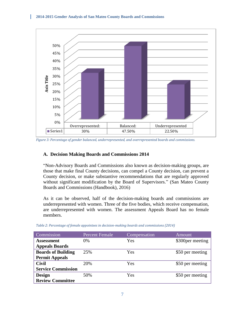

*Figure 3: Percentage of gender balanced, underrepresented, and overrepresented boards and commissions.*

#### **A. Decision Making Boards and Commissions 2014**

"Non-Advisory Boards and Commissions also known as decision-making groups, are those that make final County decisions, can compel a County decision, can prevent a County decision, or make substantive recommendations that are regularly approved without significant modification by the Board of Supervisors." (San Mateo County Boards and Commissions (Handbook), 2016)

As it can be observed, half of the decision-making boards and commissions are underrepresented with women. Three of the five bodies, which receive compensation, are underrepresented with women. The assessment Appeals Board has no female members.

| Commission                | <b>Percent Female</b> | Compensation | <b>Amount</b>     |
|---------------------------|-----------------------|--------------|-------------------|
| Assessment                | 0%                    | Yes          | \$300 per meeting |
| <b>Appeals Boards</b>     |                       |              |                   |
| <b>Boards of Building</b> | 25%                   | Yes          | \$50 per meeting  |
| <b>Permit Appeals</b>     |                       |              |                   |
| <b>Civil</b>              | 20%                   | Yes          | \$50 per meeting  |
| <b>Service Commission</b> |                       |              |                   |
| <b>Design</b>             | 50%                   | Yes          | \$50 per meeting  |
| <b>Review Committee</b>   |                       |              |                   |

*Table 2: Percentage of female appointees in decision-making boards and commissions (2014)*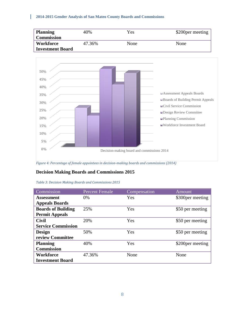

*Figure 4: Percentage of female appointees in decision-making boards and commissions (2014)*

#### **Decision Making Boards and Commissions 2015**

| Commission                | <b>Percent Female</b> | Compensation | Amount            |
|---------------------------|-----------------------|--------------|-------------------|
| <b>Assessment</b>         | $0\%$                 | <b>Yes</b>   | \$300 per meeting |
| <b>Appeals Boards</b>     |                       |              |                   |
| <b>Boards of Building</b> | 25%                   | Yes          | \$50 per meeting  |
| <b>Permit Appeals</b>     |                       |              |                   |
| <b>Civil</b>              | 20%                   | Yes          | \$50 per meeting  |
| <b>Service Commission</b> |                       |              |                   |
| <b>Design</b>             | 50%                   | Yes          | \$50 per meeting  |
| review Committee          |                       |              |                   |
| <b>Planning</b>           | 40%                   | Yes          | \$200 per meeting |
| <b>Commission</b>         |                       |              |                   |
| Workforce                 | 47.36%                | None         | None              |
| <b>Investment Board</b>   |                       |              |                   |

#### *Table 3: Decision Making Boards and Commissions 2015*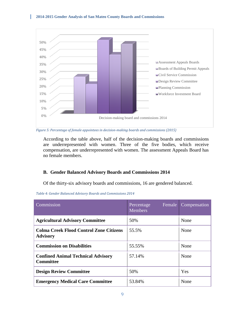

*Figure 5: Percentage of female appointees in decision-making boards and commissions (2015)*

According to the table above, half of the decision-making boards and commissions are underrepresented with women. Three of the five bodies, which receive compensation, are underrepresented with women. The assessment Appeals Board has no female members.

#### **B. Gender Balanced Advisory Boards and Commissions 2014**

Of the thirty-six advisory boards and commissions, 16 are gendered balanced.

| Commission                                                        | Female<br>Percentage<br><b>Members</b> | Compensation |
|-------------------------------------------------------------------|----------------------------------------|--------------|
| <b>Agricultural Advisory Committee</b>                            | 50%                                    | None         |
| <b>Colma Creek Flood Control Zone Citizens</b><br><b>Advisory</b> | 55.5%                                  | None         |
| <b>Commission on Disabilities</b>                                 | 55.55%                                 | None         |
| <b>Confined Animal Technical Advisory</b><br><b>Committee</b>     | 57.14%                                 | None         |
| <b>Design Review Committee</b>                                    | 50%                                    | <b>Yes</b>   |
| <b>Emergency Medical Care Committee</b>                           | 53.84%                                 | None         |

*Table 4: Gender Balanced Advisory Boards and Commissions 2014*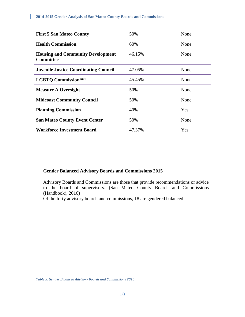i<br>L

| <b>First 5 San Mateo County</b>                              | 50%    | None |
|--------------------------------------------------------------|--------|------|
| <b>Health Commission</b>                                     | 60%    | None |
| <b>Housing and Community Development</b><br><b>Committee</b> | 46.15% | None |
| <b>Juvenile Justice Coordinating Council</b>                 | 47.05% | None |
| <b>LGBTQ Commission</b> **1                                  | 45.45% | None |
| <b>Measure A Oversight</b>                                   | 50%    | None |
| <b>Midcoast Community Council</b>                            | 50%    | None |
| <b>Planning Commission</b>                                   | 40%    | Yes  |
| <b>San Mateo County Event Center</b>                         | 50%    | None |
| <b>Workforce Investment Board</b>                            | 47.37% | Yes  |

## **Gender Balanced Advisory Boards and Commissions 2015**

Advisory Boards and Commissions are those that provide recommendations or advice to the board of supervisors. (San Mateo County Boards and Commissions (Handbook), 2016)

Of the forty advisory boards and commissions, 18 are gendered balanced.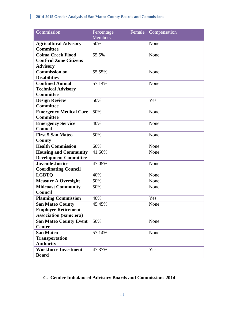| Commission                                       | Percentage<br><b>Members</b> | Female | Compensation |
|--------------------------------------------------|------------------------------|--------|--------------|
| <b>Agricultural Advisory</b><br><b>Committee</b> | 50%                          |        | None         |
| <b>Colma Creek Flood</b>                         | 55.5%                        |        | None         |
| <b>Cont<sup>1</sup>rol Zone Citizens</b>         |                              |        |              |
| <b>Advisory</b>                                  |                              |        |              |
| <b>Commission on</b>                             | 55.55%                       |        | None         |
| <b>Disabilities</b>                              |                              |        |              |
| <b>Confined Animal</b>                           | 57.14%                       |        | None         |
| <b>Technical Advisory</b>                        |                              |        |              |
| <b>Committee</b>                                 |                              |        |              |
| <b>Design Review</b>                             | 50%                          |        | Yes          |
| <b>Committee</b>                                 |                              |        |              |
| <b>Emergency Medical Care</b>                    | 50%                          |        | None         |
| <b>Committee</b>                                 |                              |        |              |
| <b>Emergency Service</b><br><b>Council</b>       | 40%                          |        | None         |
| <b>First 5 San Mateo</b>                         |                              |        |              |
|                                                  | 50%                          |        | None         |
| County<br><b>Health Commission</b>               | 60%                          |        | None         |
| <b>Housing and Community</b>                     | 41.66%                       |        | None         |
| <b>Development Committee</b>                     |                              |        |              |
| <b>Juvenile Justice</b>                          | 47.05%                       |        | None         |
| <b>Coordinating Council</b>                      |                              |        |              |
| <b>LGBTQ</b>                                     | 40%                          |        | None         |
| <b>Measure A Oversight</b>                       | 50%                          |        | None         |
| <b>Midcoast Community</b>                        | 50%                          |        | None         |
| <b>Council</b>                                   |                              |        |              |
| <b>Planning Commission</b>                       | 40%                          |        | Yes          |
| <b>San Mateo County</b>                          | 45.45%                       |        | None         |
| <b>Employee Retirement</b>                       |                              |        |              |
| <b>Association (SamCera)</b>                     |                              |        |              |
| <b>San Mateo County Event</b>                    | 50%                          |        | None         |
| <b>Center</b>                                    |                              |        |              |
| <b>San Mateo</b>                                 | 57.14%                       |        | None         |
| <b>Transportation</b>                            |                              |        |              |
| <b>Authority</b>                                 |                              |        |              |
| <b>Workforce Investment</b>                      | 47.37%                       |        | Yes          |
| <b>Board</b>                                     |                              |        |              |

## **C. Gender Imbalanced Advisory Boards and Commissions 2014**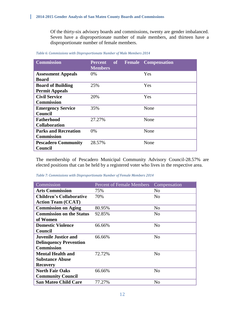Of the thirty-six advisory boards and commissions, twenty are gender imbalanced. Seven have a disproportionate number of male members, and thirteen have a disproportionate number of female members.

| <b>Commission</b>           | of<br><b>Percent</b><br><b>Members</b> | <b>Compensation</b><br><b>Female</b> |
|-----------------------------|----------------------------------------|--------------------------------------|
| <b>Assessment Appeals</b>   | 0%                                     | Yes                                  |
| <b>Board</b>                |                                        |                                      |
| <b>Board of Building</b>    | 25%                                    | <b>Yes</b>                           |
| <b>Permit Appeals</b>       |                                        |                                      |
| <b>Civil Service</b>        | 20%                                    | Yes                                  |
| <b>Commission</b>           |                                        |                                      |
| <b>Emergency Service</b>    | 35%                                    | None                                 |
| Council                     |                                        |                                      |
| <b>Fatherhood</b>           | 27.27%                                 | None                                 |
| <b>Collaboration</b>        |                                        |                                      |
| <b>Parks and Recreation</b> | 0%                                     | None                                 |
| <b>Commission</b>           |                                        |                                      |
| <b>Pescadero Community</b>  | 28.57%                                 | None                                 |
| Council                     |                                        |                                      |

*Table 6: Commissions with Disproportionate Number of Male Members 2014*

The membership of Pescadero Municipal Community Advisory Council-28.57% are elected positions that can be held by a registered voter who lives in the respective area.

|  | Table 7: Commissions with Disproportionate Number of Female Members 2014 |  |
|--|--------------------------------------------------------------------------|--|
|  |                                                                          |  |

| Commission                      | <b>Percent of Female Members</b> | Compensation   |
|---------------------------------|----------------------------------|----------------|
| <b>Arts Commission</b>          | 75%                              | N <sub>0</sub> |
| <b>Children's Collaborative</b> | 70%                              | N <sub>0</sub> |
| <b>Action Team (CCAT)</b>       |                                  |                |
| <b>Commission on Aging</b>      | 80.95%                           | N <sub>0</sub> |
| <b>Commission on the Status</b> | 92.85%                           | N <sub>0</sub> |
| of Women                        |                                  |                |
| <b>Domestic Violence</b>        | 66.66%                           | N <sub>0</sub> |
| Council                         |                                  |                |
| <b>Juvenile Justice and</b>     | 66.66%                           | N <sub>0</sub> |
| <b>Delinquency Prevention</b>   |                                  |                |
| <b>Commission</b>               |                                  |                |
| <b>Mental Health and</b>        | 72.72%                           | N <sub>0</sub> |
| <b>Substance Abuse</b>          |                                  |                |
| <b>Recovery</b>                 |                                  |                |
| <b>North Fair Oaks</b>          | 66.66%                           | N <sub>0</sub> |
| <b>Community Council</b>        |                                  |                |
| <b>San Mateo Child Care</b>     | 77.27%                           | No             |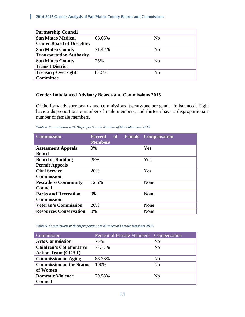i<br>L

| <b>Partnership Council</b>       |        |    |
|----------------------------------|--------|----|
| <b>San Mateo Medical</b>         | 66.66% | No |
| <b>Center Board of Directors</b> |        |    |
| <b>San Mateo County</b>          | 71.42% | No |
| <b>Transportation Authority</b>  |        |    |
| <b>San Mateo County</b>          | 75%    | No |
| <b>Transit District</b>          |        |    |
| <b>Treasury Oversight</b>        | 62.5%  | No |
| <b>Committee</b>                 |        |    |

#### **Gender Imbalanced Advisory Boards and Commissions 2015**

Of the forty advisory boards and commissions, twenty-one are gender imbalanced. Eight have a disproportionate number of male members, and thirteen have a disproportionate number of female members.

*Table 8: Commissions with Disproportionate Number of Male Members 2015*

| <b>Commission</b>             | <b>Percent</b><br><b>Members</b> |  | of Female Compensation |
|-------------------------------|----------------------------------|--|------------------------|
| <b>Assessment Appeals</b>     | 0%                               |  | Yes                    |
| <b>Board</b>                  |                                  |  |                        |
| <b>Board of Building</b>      | 25%                              |  | Yes                    |
| <b>Permit Appeals</b>         |                                  |  |                        |
| <b>Civil Service</b>          | 20%                              |  | Yes                    |
| <b>Commission</b>             |                                  |  |                        |
| <b>Pescadero Community</b>    | 12.5%                            |  | None                   |
| Council                       |                                  |  |                        |
| <b>Parks and Recreation</b>   | $0\%$                            |  | None                   |
| <b>Commission</b>             |                                  |  |                        |
| <b>Veteran's Commission</b>   | 20%                              |  | None                   |
| <b>Resources Conservation</b> | $0\%$                            |  | None                   |

#### *Table 9: Commissions with Disproportionate Number of Female Members 2015*

| Commission                      | Percent of Female Members Compensation |                |
|---------------------------------|----------------------------------------|----------------|
| <b>Arts Commission</b>          | 75%                                    | No             |
| <b>Children's Collaborative</b> | 77.77%                                 | No             |
| <b>Action Team (CCAT)</b>       |                                        |                |
| <b>Commission on Aging</b>      | 88.23%                                 | No             |
| <b>Commission on the Status</b> | 100\%                                  | N <sub>o</sub> |
| of Women                        |                                        |                |
| <b>Domestic Violence</b>        | 70.58%                                 | No             |
| Council                         |                                        |                |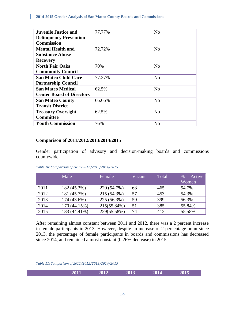i<br>L

| <b>Juvenile Justice and</b>      | 77.77% | N <sub>0</sub> |
|----------------------------------|--------|----------------|
| <b>Delinquency Prevention</b>    |        |                |
| <b>Commission</b>                |        |                |
| <b>Mental Health and</b>         | 72.72% | No             |
| <b>Substance Abuse</b>           |        |                |
| <b>Recovery</b>                  |        |                |
| <b>North Fair Oaks</b>           | 70%    | No             |
| <b>Community Council</b>         |        |                |
| <b>San Mateo Child Care</b>      | 77.27% | No             |
| <b>Partnership Council</b>       |        |                |
| <b>San Mateo Medical</b>         | 62.5%  | N <sub>0</sub> |
| <b>Center Board of Directors</b> |        |                |
| <b>San Mateo County</b>          | 66.66% | No             |
| <b>Transit District</b>          |        |                |
| <b>Treasury Oversight</b>        | 62.5%  | No             |
| <b>Committee</b>                 |        |                |
| <b>Youth Commission</b>          | 76%    | N <sub>0</sub> |

#### **Comparison of 2011/2012/2013/2014/2015**

Gender participation of advisory and decision-making boards and commissions countywide:

#### *Table 10: Comparison of 2011/2012/2013/2014/2015*

|      | Male         | Female      | Vacant | Total | Active<br>$\%$<br>Women |
|------|--------------|-------------|--------|-------|-------------------------|
| 2011 | 182 (45.3%)  | 220 (54.7%) | 63     | 465   | 54.7%                   |
| 2012 | 181 (45.7%)  | 215 (54.3%) | 57     | 453   | 54.3%                   |
| 2013 | 174 (43.6%)  | 225 (56.3%) | 59     | 399   | 56.3%                   |
| 2014 | 170 (44.15%) | 215(55.84%) | 51     | 385   | 55.84%                  |
| 2015 | 183 (44.41%) | 229(55.58%) | 74     | 412   | 55.58%                  |

After remaining almost constant between 2011 and 2012, there was a 2 percent increase in female participants in 2013. However, despite an increase of 2-percentage point since 2013, the percentage of female participants in boards and commissions has decreased since 2014, and remained almost constant (0.26% decrease) in 2015.

*Table 11: Comparison of 2011/2012/2013/2014/2015*

| 2011<br>2012<br>2013<br>2014 | 2015 |
|------------------------------|------|
|------------------------------|------|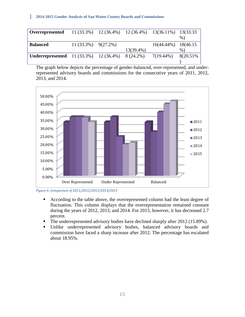| Overrepresented                                                   |                          |              | $11(33.3\%)$ $12(36.4\%)$ $12(36.4\%)$ $13(36.11\%)$ $13(33.33)$ | $%$ )     |
|-------------------------------------------------------------------|--------------------------|--------------|------------------------------------------------------------------|-----------|
| <b>Balanced</b>                                                   | $11(33.3\%)$ $9(27.2\%)$ |              | 16(44.44%) 18(46.15                                              |           |
|                                                                   |                          | $13(39.4\%)$ |                                                                  | $\%$ )    |
| <b>Underrepresented</b> 11 (33.3%) 12 (36.4%) 8 (24.2%) 7(19.44%) |                          |              |                                                                  | 8(20.51%) |
|                                                                   |                          |              |                                                                  |           |

The graph below depicts the percentage of gender-balanced, over-represented, and underrepresented advisory boards and commissions for the consecutive years of 2011, 2012, 2013, and 2014.



*Figure 6: Comparison of 2011/2012/2013/2014/2015*

- According to the table above, the overrepresented column had the least degree of fluctuation. This column displays that the overrepresentation remained constant during the years of 2012, 2013, and 2014. For 2015, however, it has decreased 2.7 percent.
- The underrepresented advisory bodies have declined sharply after 2012 (15.89%).
- Unlike underrepresented advisory bodies, balanced advisory boards and commission have faced a sharp increase after 2012. The percentage has escalated about 18.95%.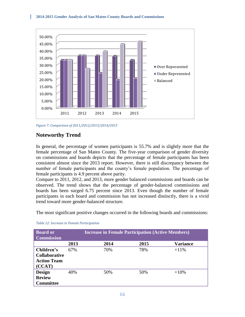

*Figure 7: Comparison of 2011/2012/2013/2014/2015*

## **Noteworthy Trend**

In general, the percentage of women participants is 55.7% and is slightly more that the female percentage of San Mateo County. The five-year comparison of gender diversity on commissions and boards depicts that the percentage of female participants has been consistent almost since the 2013 report. However, there is still discrepancy between the number of female participants and the county's female population. The percentage of female participants is 4.9 percent above parity.

Compare to 2011, 2012, and 2013, more gender balanced commissions and boards can be observed. The trend shows that the percentage of gender-balanced commissions and boards has been surged 6.75 percent since 2013. Even though the number of female participants in each board and commission has not increased distinctly, there is a vivid trend toward more gender-balanced structure.

The most significant positive changes occurred in the following boards and commissions:

| <b>Board or</b><br><b>Commission</b> |      | <b>Increase in Female Participation (Active Members)</b> |      |                 |  |  |
|--------------------------------------|------|----------------------------------------------------------|------|-----------------|--|--|
|                                      | 2013 | 2014                                                     | 2015 | <b>Variance</b> |  |  |
| Children's                           | 67%  | 70%                                                      | 78%  | $+11\%$         |  |  |
| <b>Collaborative</b>                 |      |                                                          |      |                 |  |  |
| <b>Action Team</b>                   |      |                                                          |      |                 |  |  |
| (CCAT)                               |      |                                                          |      |                 |  |  |
| <b>Design</b>                        | 40%  | 50%                                                      | 50%  | $+10%$          |  |  |
| <b>Review</b>                        |      |                                                          |      |                 |  |  |
| <b>Committee</b>                     |      |                                                          |      |                 |  |  |

*Table 12: Increase in Female Participation*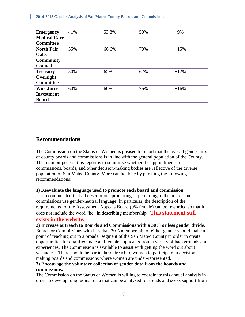| <b>Emergency</b>    | 41% | 53.8% | 50% | $+9%$  |
|---------------------|-----|-------|-----|--------|
| <b>Medical Care</b> |     |       |     |        |
| <b>Committee</b>    |     |       |     |        |
| <b>North Fair</b>   | 55% | 66.6% | 70% | $+15%$ |
| Oaks                |     |       |     |        |
| <b>Community</b>    |     |       |     |        |
| <b>Council</b>      |     |       |     |        |
| <b>Treasury</b>     | 50% | 62%   | 62% | $+12%$ |
| Oversight           |     |       |     |        |
| <b>Committee</b>    |     |       |     |        |
| Workforce           | 60% | 60%   | 76% | $+16%$ |
| <b>Investment</b>   |     |       |     |        |
| <b>Board</b>        |     |       |     |        |

## **Recommendations**

The Commission on the Status of Women is pleased to report that the overall gender mix of county boards and commissions is in line with the general population of the County. The main purpose of this report is to scrutinize whether the appointments to commissions, boards, and other decision-making bodies are reflective of the diverse population of San Mateo County. More can be done by pursuing the following recommendations:

#### **1) Reevaluate the language used to promote each board and commission.**

It is recommended that all descriptions promoting or pertaining to the boards and commissions use gender-neutral language. In particular, the description of the requirements for the Assessment Appeals Board (0% female) can be reworded so that it does not include the word "he" in describing membership. **This statement still** 

#### **exists in the website.**

**2) Increase outreach to Boards and Commissions with a 30% or less gender divide.** Boards or Commissions with less than 30% membership of either gender should make a point of reaching out to a broader segment of the San Mateo County in order to create opportunities for qualified male and female applicants from a variety of backgrounds and experiences. The Commission is available to assist with getting the word out about vacancies. There should be particular outreach to women to participate in decisionmaking boards and commissions where women are under-represented.

## **3) Encourage the voluntary collection of gender data from the boards and commissions.**

The Commission on the Status of Women is willing to coordinate this annual analysis in order to develop longitudinal data that can be analyzed for trends and seeks support from